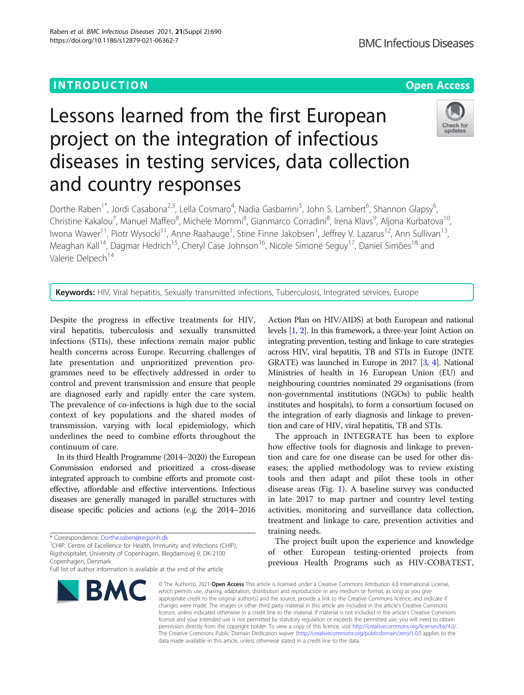# Lessons learned from the first European project on the integration of infectious diseases in testing services, data collection and country responses



Dorthe Raben<sup>1\*</sup>, Jordi Casabona<sup>2,3</sup>, Lella Cosmaro<sup>4</sup>, Nadia Gasbarrini<sup>5</sup>, John S. Lambert<sup>6</sup>, Shannon Glapsy<sup>6</sup> , Christine Kakalou<sup>7</sup>, Manuel Maffeo<sup>8</sup>, Michele Mommi<sup>8</sup>, Gianmarco Corradini<sup>8</sup>, Irena Klavs<sup>9</sup>, Aljona Kurbatova<sup>10</sup>, lwona Wawer<sup>11</sup>, Piotr Wysocki<sup>11</sup>, Anne Raahauge<sup>1</sup>, Stine Finne Jakobsen<sup>1</sup>, Jeffrey V. Lazarus<sup>12</sup>, Ann Sullivan<sup>13</sup>, Meaghan Kall<sup>14</sup>, Dagmar Hedrich<sup>15</sup>, Cheryl Case Johnson<sup>16</sup>, Nicole Simone Seguy<sup>17</sup>, Daniel Simões<sup>18</sup> and Valerie Delpech<sup>14</sup>

Keywords: HIV, Viral hepatitis, Sexually transmitted infections, Tuberculosis, Integrated services, Europe

Despite the progress in effective treatments for HIV, viral hepatitis, tuberculosis and sexually transmitted infections (STIs), these infections remain major public health concerns across Europe. Recurring challenges of late presentation and unprioritized prevention programmes need to be effectively addressed in order to control and prevent transmission and ensure that people are diagnosed early and rapidly enter the care system. The prevalence of co-infections is high due to the social context of key populations and the shared modes of transmission, varying with local epidemiology, which underlines the need to combine efforts throughout the continuum of care.

In its third Health Programme (2014–2020) the European Commission endorsed and prioritized a cross-disease integrated approach to combine efforts and promote costeffective, affordable and effective interventions. Infectious diseases are generally managed in parallel structures with disease specific policies and actions (e.g. the 2014–2016

\* Correspondence: [Dorthe.raben@regionh.dk](mailto:Dorthe.raben@regionh.dk)<br><sup>1</sup>CHIP, Centre of Excellence for Health, Immunity and Infections (CHIP), Rigshospitalet, University of Copenhagen, Blegdamsvej 9, DK-2100 Copenhagen, Denmark

Full list of author information is available at the end of the article



Action Plan on HIV/AIDS) at both European and national levels [[1](#page-4-0), [2\]](#page-4-0). In this framework, a three-year Joint Action on integrating prevention, testing and linkage to care strategies across HIV, viral hepatitis, TB and STIs in Europe (INTE GRATE) was launched in Europe in 2017 [\[3,](#page-4-0) [4](#page-4-0)]. National Ministries of health in 16 European Union (EU) and neighbouring countries nominated 29 organisations (from non-governmental institutions (NGOs) to public health institutes and hospitals), to form a consortium focused on the integration of early diagnosis and linkage to prevention and care of HIV, viral hepatitis, TB and STIs.

The approach in INTEGRATE has been to explore how effective tools for diagnosis and linkage to prevention and care for one disease can be used for other diseases; the applied methodology was to review existing tools and then adapt and pilot these tools in other disease areas (Fig. [1](#page-1-0)). A baseline survey was conducted in late 2017 to map partner and country level testing activities, monitoring and surveillance data collection, treatment and linkage to care, prevention activities and training needs.

The project built upon the experience and knowledge of other European testing-oriented projects from previous Health Programs such as HIV-COBATEST,

© The Author(s), 2021 **Open Access** This article is licensed under a Creative Commons Attribution 4.0 International License, which permits use, sharing, adaptation, distribution and reproduction in any medium or format, as long as you give appropriate credit to the original author(s) and the source, provide a link to the Creative Commons licence, and indicate if changes were made. The images or other third party material in this article are included in the article's Creative Commons licence, unless indicated otherwise in a credit line to the material. If material is not included in the article's Creative Commons licence and your intended use is not permitted by statutory regulation or exceeds the permitted use, you will need to obtain permission directly from the copyright holder. To view a copy of this licence, visit [http://creativecommons.org/licenses/by/4.0/.](http://creativecommons.org/licenses/by/4.0/) The Creative Commons Public Domain Dedication waiver [\(http://creativecommons.org/publicdomain/zero/1.0/](http://creativecommons.org/publicdomain/zero/1.0/)) applies to the data made available in this article, unless otherwise stated in a credit line to the data.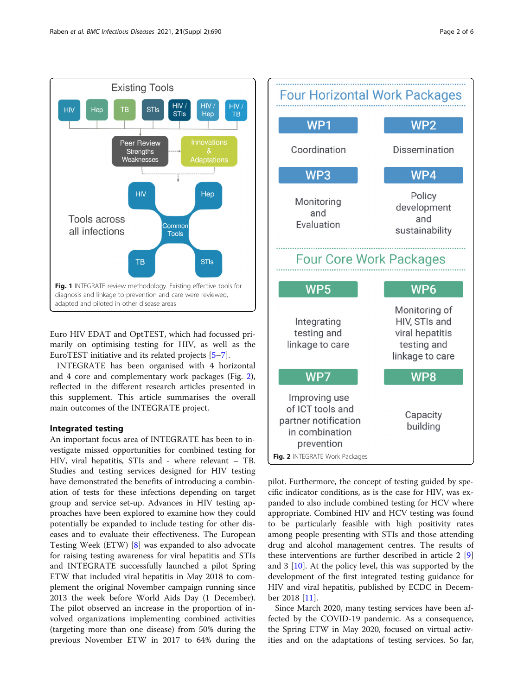<span id="page-1-0"></span>

Euro HIV EDAT and OptTEST, which had focussed primarily on optimising testing for HIV, as well as the EuroTEST initiative and its related projects [[5](#page-4-0)–[7](#page-4-0)].

INTEGRATE has been organised with 4 horizontal and 4 core and complementary work packages (Fig. 2), reflected in the different research articles presented in this supplement. This article summarises the overall main outcomes of the INTEGRATE project.

# Integrated testing

An important focus area of INTEGRATE has been to investigate missed opportunities for combined testing for HIV, viral hepatitis, STIs and - where relevant – TB. Studies and testing services designed for HIV testing have demonstrated the benefits of introducing a combination of tests for these infections depending on target group and service set-up. Advances in HIV testing approaches have been explored to examine how they could potentially be expanded to include testing for other diseases and to evaluate their effectiveness. The European Testing Week (ETW) [\[8](#page-4-0)] was expanded to also advocate for raising testing awareness for viral hepatitis and STIs and INTEGRATE successfully launched a pilot Spring ETW that included viral hepatitis in May 2018 to complement the original November campaign running since 2013 the week before World Aids Day (1 December). The pilot observed an increase in the proportion of involved organizations implementing combined activities (targeting more than one disease) from 50% during the previous November ETW in 2017 to 64% during the



pilot. Furthermore, the concept of testing guided by specific indicator conditions, as is the case for HIV, was expanded to also include combined testing for HCV where appropriate. Combined HIV and HCV testing was found to be particularly feasible with high positivity rates among people presenting with STIs and those attending drug and alcohol management centres. The results of these interventions are further described in article 2 [\[9](#page-4-0)] and 3 [\[10\]](#page-4-0). At the policy level, this was supported by the development of the first integrated testing guidance for HIV and viral hepatitis, published by ECDC in December 2018 [[11](#page-4-0)].

Since March 2020, many testing services have been affected by the COVID-19 pandemic. As a consequence, the Spring ETW in May 2020, focused on virtual activities and on the adaptations of testing services. So far,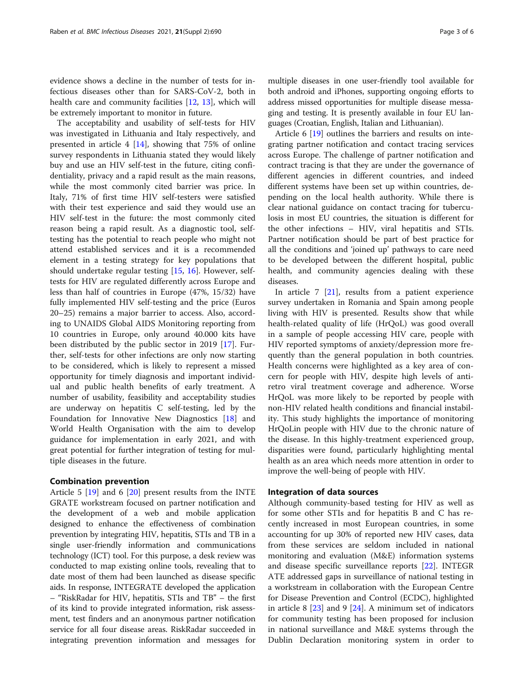evidence shows a decline in the number of tests for infectious diseases other than for SARS-CoV-2, both in health care and community facilities [\[12,](#page-4-0) [13](#page-4-0)], which will be extremely important to monitor in future.

The acceptability and usability of self-tests for HIV was investigated in Lithuania and Italy respectively, and presented in article 4 [\[14](#page-4-0)], showing that 75% of online survey respondents in Lithuania stated they would likely buy and use an HIV self-test in the future, citing confidentiality, privacy and a rapid result as the main reasons, while the most commonly cited barrier was price. In Italy, 71% of first time HIV self-testers were satisfied with their test experience and said they would use an HIV self-test in the future: the most commonly cited reason being a rapid result. As a diagnostic tool, selftesting has the potential to reach people who might not attend established services and it is a recommended element in a testing strategy for key populations that should undertake regular testing [[15](#page-4-0), [16\]](#page-4-0). However, selftests for HIV are regulated differently across Europe and less than half of countries in Europe (47%, 15/32) have fully implemented HIV self-testing and the price (Euros 20–25) remains a major barrier to access. Also, according to UNAIDS Global AIDS Monitoring reporting from 10 countries in Europe, only around 40.000 kits have been distributed by the public sector in 2019 [[17\]](#page-5-0). Further, self-tests for other infections are only now starting to be considered, which is likely to represent a missed opportunity for timely diagnosis and important individual and public health benefits of early treatment. A number of usability, feasibility and acceptability studies are underway on hepatitis C self-testing, led by the Foundation for Innovative New Diagnostics [[18](#page-5-0)] and World Health Organisation with the aim to develop guidance for implementation in early 2021, and with great potential for further integration of testing for multiple diseases in the future.

# Combination prevention

Article 5 [[19\]](#page-5-0) and 6 [[20\]](#page-5-0) present results from the INTE GRATE workstream focused on partner notification and the development of a web and mobile application designed to enhance the effectiveness of combination prevention by integrating HIV, hepatitis, STIs and TB in a single user-friendly information and communications technology (ICT) tool. For this purpose, a desk review was conducted to map existing online tools, revealing that to date most of them had been launched as disease specific aids. In response, INTEGRATE developed the application – "RiskRadar for HIV, hepatitis, STIs and TB" – the first of its kind to provide integrated information, risk assessment, test finders and an anonymous partner notification service for all four disease areas. RiskRadar succeeded in integrating prevention information and messages for multiple diseases in one user-friendly tool available for both android and iPhones, supporting ongoing efforts to address missed opportunities for multiple disease messaging and testing. It is presently available in four EU languages (Croatian, English, Italian and Lithuanian).

Article 6 [[19\]](#page-5-0) outlines the barriers and results on integrating partner notification and contact tracing services across Europe. The challenge of partner notification and contract tracing is that they are under the governance of different agencies in different countries, and indeed different systems have been set up within countries, depending on the local health authority. While there is clear national guidance on contact tracing for tuberculosis in most EU countries, the situation is different for the other infections – HIV, viral hepatitis and STIs. Partner notification should be part of best practice for all the conditions and 'joined up' pathways to care need to be developed between the different hospital, public health, and community agencies dealing with these diseases.

In article 7 [[21\]](#page-5-0), results from a patient experience survey undertaken in Romania and Spain among people living with HIV is presented. Results show that while health-related quality of life (HrQoL) was good overall in a sample of people accessing HIV care, people with HIV reported symptoms of anxiety/depression more frequently than the general population in both countries. Health concerns were highlighted as a key area of concern for people with HIV, despite high levels of antiretro viral treatment coverage and adherence. Worse HrQoL was more likely to be reported by people with non-HIV related health conditions and financial instability. This study highlights the importance of monitoring HrQoLin people with HIV due to the chronic nature of the disease. In this highly-treatment experienced group, disparities were found, particularly highlighting mental health as an area which needs more attention in order to improve the well-being of people with HIV.

# Integration of data sources

Although community-based testing for HIV as well as for some other STIs and for hepatitis B and C has recently increased in most European countries, in some accounting for up 30% of reported new HIV cases, data from these services are seldom included in national monitoring and evaluation (M&E) information systems and disease specific surveillance reports [[22](#page-5-0)]. INTEGR ATE addressed gaps in surveillance of national testing in a workstream in collaboration with the European Centre for Disease Prevention and Control (ECDC), highlighted in article  $8 \, [23]$  $8 \, [23]$  $8 \, [23]$  and  $9 \, [24]$  $9 \, [24]$ . A minimum set of indicators for community testing has been proposed for inclusion in national surveillance and M&E systems through the Dublin Declaration monitoring system in order to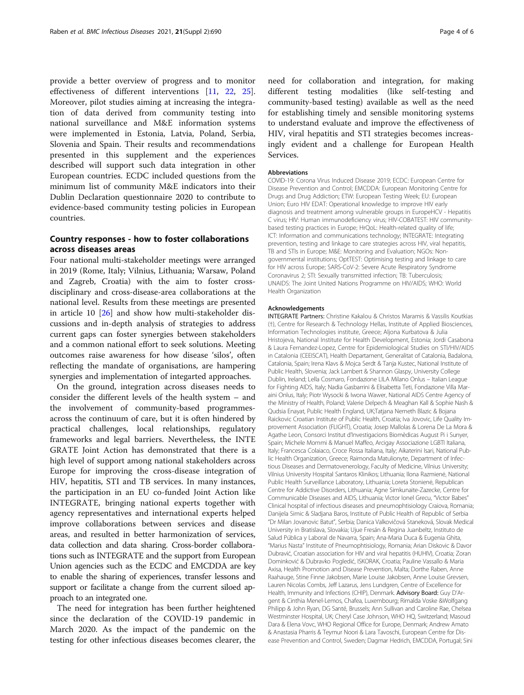provide a better overview of progress and to monitor effectiveness of different interventions [[11](#page-4-0), [22,](#page-5-0) [25](#page-5-0)]. Moreover, pilot studies aiming at increasing the integration of data derived from community testing into national surveillance and M&E information systems were implemented in Estonia, Latvia, Poland, Serbia, Slovenia and Spain. Their results and recommendations presented in this supplement and the experiences described will support such data integration in other European countries. ECDC included questions from the minimum list of community M&E indicators into their Dublin Declaration questionnaire 2020 to contribute to evidence-based community testing policies in European countries.

# Country responses - how to foster collaborations across diseases areas

Four national multi-stakeholder meetings were arranged in 2019 (Rome, Italy; Vilnius, Lithuania; Warsaw, Poland and Zagreb, Croatia) with the aim to foster crossdisciplinary and cross-disease-area collaborations at the national level. Results from these meetings are presented in article 10 [[26](#page-5-0)] and show how multi-stakeholder discussions and in-depth analysis of strategies to address current gaps can foster synergies between stakeholders and a common national effort to seek solutions. Meeting outcomes raise awareness for how disease 'silos', often reflecting the mandate of organisations, are hampering synergies and implementation of integarted approaches.

On the ground, integration across diseases needs to consider the different levels of the health system – and the involvement of community-based programmesacross the continuum of care, but it is often hindered by practical challenges, local relationships, regulatory frameworks and legal barriers. Nevertheless, the INTE GRATE Joint Action has demonstrated that there is a high level of support among national stakeholders across Europe for improving the cross-disease integration of HIV, hepatitis, STI and TB services. In many instances, the participation in an EU co-funded Joint Action like INTEGRATE, bringing national experts together with agency representatives and international experts helped improve collaborations between services and disease areas, and resulted in better harmonization of services, data collection and data sharing. Cross-border collaborations such as INTEGRATE and the support from European Union agencies such as the ECDC and EMCDDA are key to enable the sharing of experiences, transfer lessons and support or facilitate a change from the current siloed approach to an integrated one.

The need for integration has been further heightened since the declaration of the COVID-19 pandemic in March 2020. As the impact of the pandemic on the testing for other infectious diseases becomes clearer, the need for collaboration and integration, for making different testing modalities (like self-testing and community-based testing) available as well as the need for establishing timely and sensible monitoring systems to understand evaluate and improve the effectiveness of HIV, viral hepatitis and STI strategies becomes increasingly evident and a challenge for European Health Services.

### **Abbreviations**

COVID-19: Corona Virus Induced Disease 2019; ECDC: European Centre for Disease Prevention and Control; EMCDDA: European Monitoring Centre for Drugs and Drug Addiction; ETW: European Testing Week; EU: European Union; Euro HIV EDAT: Operational knowledge to improve HIV early diagnosis and treatment among vulnerable groups in EuropeHCV - Hepatitis C virus; HIV: Human immunodeficiency virus; HIV-COBATEST: HIV communitybased testing practices in Europe; HrQoL: Health-related quality of life; ICT: Information and communications technology; INTEGRATE: Integrating prevention, testing and linkage to care strategies across HIV, viral hepatitis, TB and STIs in Europe; M&E: Monitoring and Evaluation; NGOs: Nongovernmental institutions; OptTEST: Optimising testing and linkage to care for HIV across Europe; SARS-CoV-2: Severe Acute Respiratory Syndrome Coronavirus 2; STI: Sexually transmitted infection; TB: Tuberculosis; UNAIDS: The Joint United Nations Programme on HIV/AIDS; WHO: World Health Organization

#### Acknowledgements

INTEGRATE Partners: Christine Kakalou & Christos Maramis & Vassilis Koutkias (†), Centre for Research & Technology Hellas, Institute of Applied Biosciences, Information Technologies institute, Greece; Aljona Kurbatova & Julia Hristojeva, National Institute for Health Development, Estonia; Jordi Casabona & Laura Fernandez-Lopez, Centre for Epidemiological Studies on STI/HIV/AIDS in Catalonia (CEEISCAT), Health Departament, Generalitat of Catalonia, Badalona, Catalonia, Spain; Irena Klavs & Mojca Serdt & Tanja Kustec, National Institute of Public Health, Slovenia; Jack Lambert & Shannon Glaspy, University College Dublin, Ireland; Lella Cosmaro, Fondazione LILA Milano Onlus – Italian League for Fighting AIDS, Italy; Nadia Gasbarrini & Elisabetta Teti, Fondazione Villa Maraini Onlus, Italy; Piotr Wysocki & Iwona Wawer, National AIDS Centre Agency of the Ministry of Health, Poland; Valerie Delpech & Meaghan Kall & Sophie Nash & Qudsia Enayat, Public Health England, UK;Tatjana Nemeth Blazic & Bojana Raickovic Croatian Institute of Public Health, Croatia; Iva Jovovic, Life Quality Improvement Association (FLIGHT), Croatia; Josep Mallolas & Lorena De La Mora & Agathe Leon, Consorci Institut d'Investigacions Biomèdicas August Pi i Sunyer, Spain; Michele Mommi & Manuel Maffeo, Arcigay Associazione LGBTI Italiana, Italy; Francesca Colaiaco, Croce Rossa Italiana, Italy; Aikaterini Isari, National Public Health Organization, Greece; Raimonda Matulionyte, Department of Infectious Diseases and Dermatovenerology, Faculty of Medicine, Vilnius University; Vilnius University Hospital Santaros Klinikos; Lithuania; Ilona Razmienė, National Public Health Surveillance Laboratory, Lithuania; Loreta Stonienė, Republican Centre for Addictive Disorders, Lithuania; Agne Simkunaite-Zazecke, Centre for Communicable Diseases and AIDS, Lithuania; Victor Ionel Grecu, "Victor Babes" Clinical hospital of infectious diseases and pneumophtisiology Craiova, Romania; Danijela Simic & Sladjana Baros, Institute of Public Health of Republic of Serbia "Dr Milan Jovanovic Batut", Serbia; Danica Valkovičová Staneková, Slovak Medical University in Bratislava, Slovakia; Ujue Fresán & Regina Juanbeltz, Instituto de Salud Pública y Laboral de Navarra, Spain; Ana-Maria Duca & Eugenia Ghita, "Marius Nasta" Institute of Pneumophtisiology, Romania; Arian Diskovic & Davor Dubravić, Croatian association for HIV and viral hepatitis (HUHIV), Croatia; Zoran Dominković & Dubravko Pogledić, ISKORAK, Croatia; Pauline Vassallo & Maria Axisa, Health Promotion and Disease Prevention, Malta; Dorthe Raben, Anne Raahauge, Stine Finne Jakobsen, Marie Louise Jakobsen, Anne Louise Grevsen, Lauren Nicolas Combs, Jeff Lazarus, Jens Lundgren, Centre of Excellence for Health, Immunity and Infections (CHIP), Denmark. Advisory Board: Guy D'Argent & Cinthia Menel-Lemos, Chafea, Luxembourg; Rimalda Voske &Wolfgang Philipp & John Ryan, DG Santé, Brussels; Ann Sullivan and Caroline Rae, Chelsea Westminster Hospital, UK; Cheryl Case Johnson, WHO HQ, Switzerland; Masoud Dara & Elena Vovc, WHO Regional Office for Europe, Denmark; Andrew Amato & Anastasia Pharris & Teymur Noori & Lara Tavoschi, European Centre for Disease Prevention and Control, Sweden; Dagmar Hedrich, EMCDDA, Portugal; Sini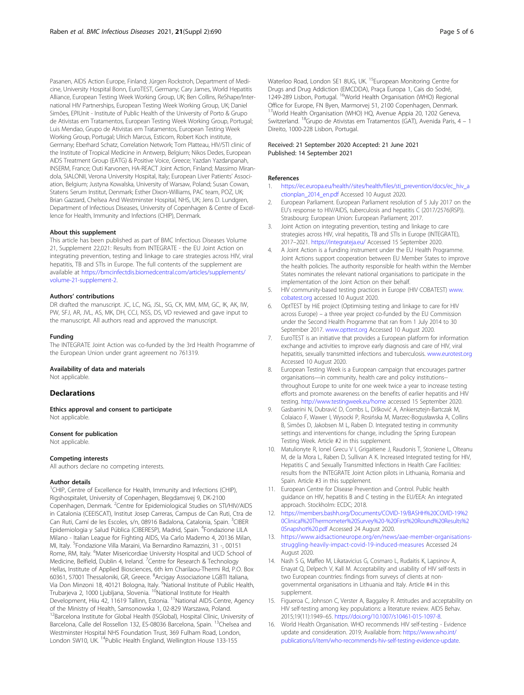<span id="page-4-0"></span>Pasanen, AIDS Action Europe, Finland; Jürgen Rockstroh, Department of Medicine, University Hospital Bonn, EuroTEST, Germany; Cary James, World Hepatitis Alliance, European Testing Week Working Group, UK; Ben Collins, ReShape/International HIV Partnerships, European Testing Week Working Group, UK; Daniel Simões, EPIUnit - Institute of Public Health of the University of Porto & Grupo de Ativistas em Tratamentos, European Testing Week Working Group, Portugal; Luis Mendao, Grupo de Ativistas em Tratamentos, European Testing Week Working Group, Portugal; Ulrich Marcus, Esticom, Robert Koch institute, Germany; Eberhard Schatz, Correlation Network; Tom Platteau, HIV/STI clinic of the Institute of Tropical Medicine in Antwerp, Belgium; Nikos Dedes, European AIDS Treatment Group (EATG) & Positive Voice, Greece; Yazdan Yazdanpanah, INSERM, France; Outi Karvonen, HA-REACT Joint Action, Finland; Massimo Mirandola, SIALONII, Verona University Hospital, Italy; European Liver Patients' Association, Belgium; Justyna Kowalska, University of Warsaw, Poland; Susan Cowan, Statens Serum Institut, Denmark; Esther Dixon-Williams, PAC team, POZ, UK; Brian Gazzard, Chelsea And Westminster Hospital, NHS, UK; Jens D. Lundgren, Department of Infectious Diseases, University of Copenhagen & Centre of Excellence for Health, Immunity and Infections (CHIP), Denmark.

#### About this supplement

This article has been published as part of BMC Infectious Diseases Volume 21, Supplement 22,021: Results from INTEGRATE - the EU Joint Action on integrating prevention, testing and linkage to care strategies across HIV, viral hepatitis, TB and STIs in Europe. The full contents of the supplement are available at [https://bmcinfectdis.biomedcentral.com/articles/supplements/](https://bmcinfectdis.biomedcentral.com/articles/supplements/volume-21-supplement-2) [volume-21-supplement-2](https://bmcinfectdis.biomedcentral.com/articles/supplements/volume-21-supplement-2).

## Authors' contributions

DR drafted the manuscript. JC, LC, NG, JSL, SG, CK, MM, MM, GC, IK, AK, IW, PW, SFJ, AR, JVL, AS, MK, DH, CCJ, NSS, DS, VD reviewed and gave input to the manuscript. All authors read and approved the manuscript.

#### Funding

The INTEGRATE Joint Action was co-funded by the 3rd Health Programme of the European Union under grant agreement no 761319.

# Availability of data and materials

Not applicable.

# **Declarations**

Ethics approval and consent to participate Not applicable.

# Consent for publication

Not applicable.

# Competing interests

All authors declare no competing interests.

### Author details

<sup>1</sup>CHIP, Centre of Excellence for Health, Immunity and Infections (CHIP), Rigshospitalet, University of Copenhagen, Blegdamsvej 9, DK-2100 Copenhagen, Denmark. <sup>2</sup>Centre for Epidemiological Studies on STI/HIV/AIDS in Catalonia (CEEISCAT), Institut Josep Carreras, Campus de Can Ruti, Ctra de Can Ruti, Camí de les Escoles, s/n, 08916 Badalona, Catalonia, Spain. <sup>3</sup>CIBER Epidemiologia y Salud Pública (CIBERESP), Madrid, Spain. <sup>4</sup>Fondazione LILA Milano - Italian League for Fighting AIDS, Via Carlo Maderno 4, 20136 Milan, MI, Italy. <sup>5</sup>Fondazione Villa Maraini, Via Bernardino Ramazzini, 31 -, 00151 Rome, RM, Italy. <sup>6</sup>Mater Misericordiae University Hospital and UCD School of Medicine, Belfield, Dublin 4, Ireland. <sup>7</sup> Centre for Research & Technology Hellas, Institute of Applied Biosciences, 6th km Charilaou-Thermi Rd, P.O. Box 60361, 57001 Thessaloniki, GR, Greece. <sup>8</sup> Arcigay Associazione LGBTI Italiana, Via Don Minzoni 18, 40121 Bologna, Italy. <sup>9</sup>National Institute of Public Health, Trubarjeva 2, 1000 Ljubljana, Slovenia. <sup>10</sup>National Institute for Health Development, Hiiu 42, 11619 Tallinn, Estonia. <sup>11</sup>National AIDS Centre, Agency of the Ministry of Health, Samsonowska 1, 02-829 Warszawa, Poland. <sup>2</sup>Barcelona Institute for Global Health (ISGlobal), Hospital Clínic, University of Barcelona, Calle del Rossellon 132, ES-08036 Barcelona, Spain. <sup>13</sup>Chelsea and Westminster Hospital NHS Foundation Trust, 369 Fulham Road, London, London SW10, UK.<sup>14</sup>Public Health England, Wellington House 133-155

Waterloo Road, London SE1 8UG, UK.<sup>15</sup>European Monitoring Centre for Drugs and Drug Addiction (EMCDDA), Praça Europa 1, Cais do Sodré, 1249-289 Lisbon, Portugal. 16World Health Organisation (WHO) Regional Office for Europe, FN Byen, Marmorvej 51, 2100 Copenhagen, Denmark. <sup>17</sup>World Health Organisation (WHO) HQ, Avenue Appia 20, 1202 Geneva, Switzerland. 18Grupo de Ativistas em Tratamentos (GAT), Avenida Paris, 4 – 1 Direito, 1000-228 Lisbon, Portugal.

# Received: 21 September 2020 Accepted: 21 June 2021 Published: 14 September 2021

#### References

- 1. [https://ec.europa.eu/health//sites/health/files/sti\\_prevention/docs/ec\\_hiv\\_a](https://ec.europa.eu/health//sites/health/files/sti_prevention/docs/ec_hiv_actionplan_2014_en.pdf) [ctionplan\\_2014\\_en.pdf](https://ec.europa.eu/health//sites/health/files/sti_prevention/docs/ec_hiv_actionplan_2014_en.pdf) Accessed 10 August 2020.
- 2. European Parliament. European Parliament resolution of 5 July 2017 on the EU's response to HIV/AIDS, tuberculosis and hepatitis C (2017/2576(RSP)). Strasbourg: European Union: European Parliament; 2017.
- 3. Joint Action on integrating prevention, testing and linkage to care strategies across HIV, viral hepatitis, TB and STIs in Europe (INTEGRATE), 2017–2021. <https://integrateja.eu/> Accessed 15 September 2020.
- 4. A Joint Action is a funding instrument under the EU Health Programme. Joint Actions support cooperation between EU Member States to improve the health policies. The authority responsible for health within the Member States nominates the relevant national organisations to participate in the implementation of the Joint Action on their behalf.
- 5. HIV community-based testing practices in Europe (HIV COBATEST) [www.](http://www.cobatest.org) [cobatest.org](http://www.cobatest.org) accessed 10 August 2020.
- 6. OptTEST by HiE project (Optimising testing and linkage to care for HIV across Europe) – a three year project co-funded by the EU Commission under the Second Health Programme that ran from 1 July 2014 to 30 September 2017. [www.opttest.org](http://www.opttest.org) Accessed 10 August 2020.
- 7. EuroTEST is an initiative that provides a European platform for information exchange and activities to improve early diagnosis and care of HIV, viral hepatitis, sexually transmitted infections and tuberculosis. [www.eurotest.org](http://www.eurotest.org) Accessed 10 August 2020.
- 8. European Testing Week is a European campaign that encourages partner organisations—in community, health care and policy institutions- throughout Europe to unite for one week twice a year to increase testing efforts and promote awareness on the benefits of earlier hepatitis and HIV testing. <http://www.testingweek.eu/home> accessed 15 September 2020.
- 9. Gasbarrini N, Dubravić D, Combs L, Dišković A, Ankiersztejn-Bartczak M, Colaiaco F, Wawer I, Wysocki P, Rosińska M, Marzec-Bogusławska A, Collins B, Simões D, Jakobsen M L, Raben D. Integrated testing in community settings and interventions for change, including the Spring European Testing Week. Article #2 in this supplement.
- 10. Matulionyte R, Ionel Grecu V I, Grigaitiene J, Raudonis T, Stoniene L, Olteanu M, de la Mora L, Raben D, Sullivan A K. Increased Integrated testing for HIV, Hepatitis C and Sexually Transmitted Infections in Health Care Facilities: results from the INTEGRATE Joint Action pilots in Lithuania, Romania and Spain. Article #3 in this supplement.
- 11. European Centre for Disease Prevention and Control. Public health guidance on HIV, hepatitis B and C testing in the EU/EEA: An integrated approach. Stockholm: ECDC; 2018.
- 12. [https://members.bashh.org/Documents/COVID-19/BASHH%20COVID-19%2](https://members.bashh.org/Documents/COVID-19/BASHH%20COVID-19%20Clinical%20Thermometer%20Survey%20-%20First%20Round%20Results%20Snapshot%20.pdf) [0Clinical%20Thermometer%20Survey%20-%20First%20Round%20Results%2](https://members.bashh.org/Documents/COVID-19/BASHH%20COVID-19%20Clinical%20Thermometer%20Survey%20-%20First%20Round%20Results%20Snapshot%20.pdf) [0Snapshot%20.pdf](https://members.bashh.org/Documents/COVID-19/BASHH%20COVID-19%20Clinical%20Thermometer%20Survey%20-%20First%20Round%20Results%20Snapshot%20.pdf) Accessed 24 August 2020.
- 13. [https://www.aidsactioneurope.org/en/news/aae-member-organisations](https://www.aidsactioneurope.org/en/news/aae-member-organisations-struggling-heavily-impact-covid-19-induced-measures)[struggling-heavily-impact-covid-19-induced-measures](https://www.aidsactioneurope.org/en/news/aae-member-organisations-struggling-heavily-impact-covid-19-induced-measures) Accessed 24 August 2020.
- 14. Nash S G, Maffeo M, Likatavicius G, Cosmaro L, Rudaitis K, Lapsinov A, Enayat Q, Delpech V, Kall M. Acceptability and usability of HIV self-tests in two European countries: findings from surveys of clients at nongovernmental organisations in Lithuania and Italy. Article #4 in this supplement.
- 15. Figueroa C, Johnson C, Verster A, Baggaley R. Attitudes and acceptability on HIV self-testing among key populations: a literature review. AIDS Behav. 2015;19(11):1949–65. [https://doi.org/10.1007/s10461-015-1097-8.](https://doi.org/10.1007/s10461-015-1097-8)
- 16. World Health Organisation. WHO recommends HIV self-testing Evidence update and consideration. 2019; Available from: [https://www.who.int/](https://www.who.int/publications/i/item/who-recommends-hiv-self-testing-evidence-update) [publications/i/item/who-recommends-hiv-self-testing-evidence-update.](https://www.who.int/publications/i/item/who-recommends-hiv-self-testing-evidence-update)